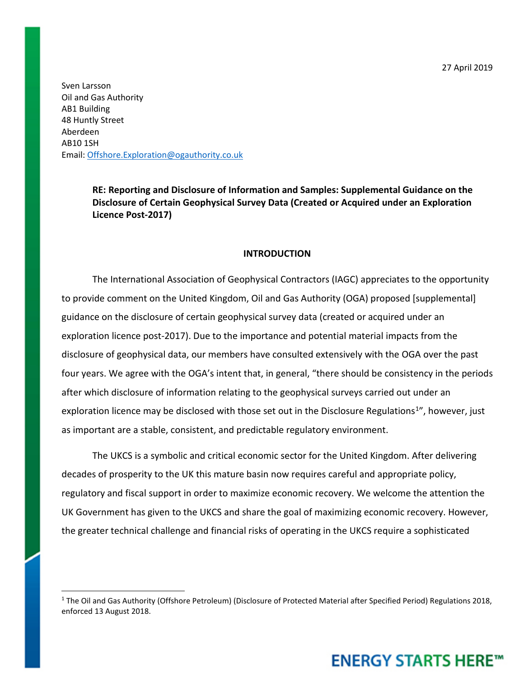27 April 2019

Sven Larsson Oil and Gas Authority AB1 Building 48 Huntly Street Aberdeen AB10 1SH Email: [Offshore.Exploration@ogauthority.co.uk](mailto:Offshore.Exploration@ogauthority.co.uk)

> **RE: Reporting and Disclosure of Information and Samples: Supplemental Guidance on the Disclosure of Certain Geophysical Survey Data (Created or Acquired under an Exploration Licence Post-2017)**

### **INTRODUCTION**

The International Association of Geophysical Contractors (IAGC) appreciates to the opportunity to provide comment on the United Kingdom, Oil and Gas Authority (OGA) proposed [supplemental] guidance on the disclosure of certain geophysical survey data (created or acquired under an exploration licence post-2017). Due to the importance and potential material impacts from the disclosure of geophysical data, our members have consulted extensively with the OGA over the past four years. We agree with the OGA's intent that, in general, "there should be consistency in the periods after which disclosure of information relating to the geophysical surveys carried out under an exploration licence may be disclosed with those set out in the Disclosure Regulations<sup>1</sup>", however, just as important are a stable, consistent, and predictable regulatory environment.

The UKCS is a symbolic and critical economic sector for the United Kingdom. After delivering decades of prosperity to the UK this mature basin now requires careful and appropriate policy, regulatory and fiscal support in order to maximize economic recovery. We welcome the attention the UK Government has given to the UKCS and share the goal of maximizing economic recovery. However, the greater technical challenge and financial risks of operating in the UKCS require a sophisticated

## **ENERGY STARTS HERE™**

<span id="page-0-0"></span><sup>&</sup>lt;sup>1</sup> The Oil and Gas Authority (Offshore Petroleum) (Disclosure of Protected Material after Specified Period) Regulations 2018, enforced 13 August 2018.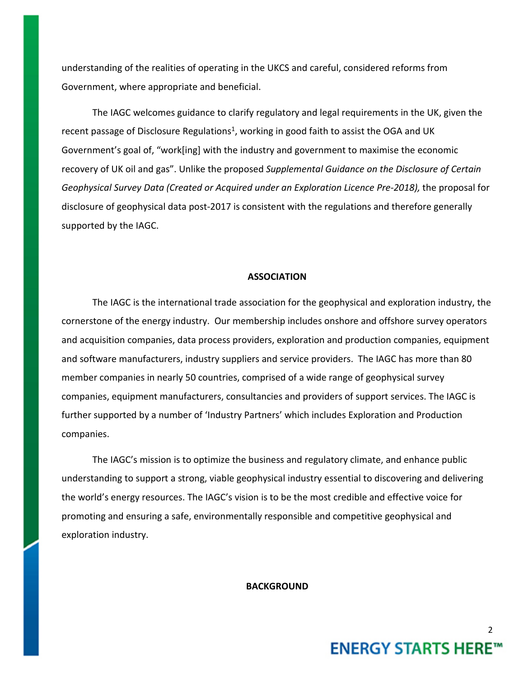understanding of the realities of operating in the UKCS and careful, considered reforms from Government, where appropriate and beneficial.

The IAGC welcomes guidance to clarify regulatory and legal requirements in the UK, given the recent passage of Disclosure Regulations<sup>1</sup>, working in good faith to assist the OGA and UK Government's goal of, "work[ing] with the industry and government to maximise the economic recovery of UK oil and gas". Unlike the proposed *Supplemental Guidance on the Disclosure of Certain*  Geophysical Survey Data (Created or Acquired under an Exploration Licence Pre-2018), the proposal for disclosure of geophysical data post-2017 is consistent with the regulations and therefore generally supported by the IAGC.

#### **ASSOCIATION**

The IAGC is the international trade association for the geophysical and exploration industry, the cornerstone of the energy industry. Our membership includes onshore and offshore survey operators and acquisition companies, data process providers, exploration and production companies, equipment and software manufacturers, industry suppliers and service providers. The IAGC has more than 80 member companies in nearly 50 countries, comprised of a wide range of geophysical survey companies, equipment manufacturers, consultancies and providers of support services. The IAGC is further supported by a number of 'Industry Partners' which includes Exploration and Production companies.

The IAGC's mission is to optimize the business and regulatory climate, and enhance public understanding to support a strong, viable geophysical industry essential to discovering and delivering the world's energy resources. The IAGC's vision is to be the most credible and effective voice for promoting and ensuring a safe, environmentally responsible and competitive geophysical and exploration industry.

**BACKGROUND**

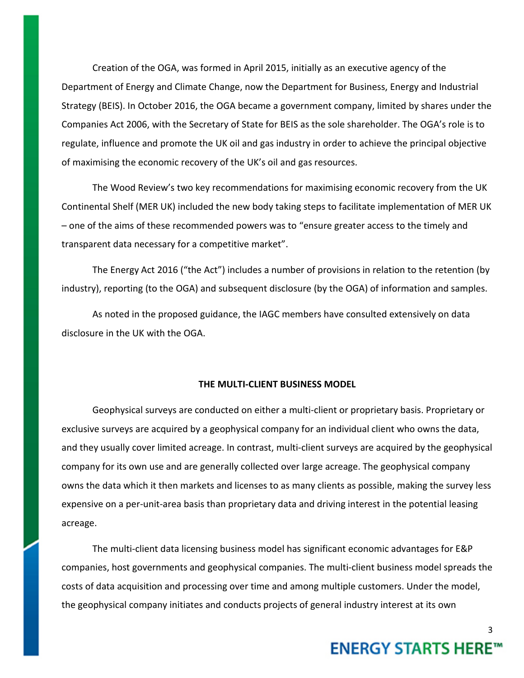Creation of the OGA, was formed in April 2015, initially as an executive agency of the Department of Energy and Climate Change, now the Department for Business, Energy and Industrial Strategy (BEIS). In October 2016, the OGA became a government company, limited by shares under the Companies Act 2006, with the Secretary of State for BEIS as the sole shareholder. The OGA's role is to regulate, influence and promote the UK oil and gas industry in order to achieve the principal objective of maximising the economic recovery of the UK's oil and gas resources.

The Wood Review's two key recommendations for maximising economic recovery from the UK Continental Shelf (MER UK) included the new body taking steps to facilitate implementation of MER UK – one of the aims of these recommended powers was to "ensure greater access to the timely and transparent data necessary for a competitive market".

The Energy Act 2016 ("the Act") includes a number of provisions in relation to the retention (by industry), reporting (to the OGA) and subsequent disclosure (by the OGA) of information and samples.

As noted in the proposed guidance, the IAGC members have consulted extensively on data disclosure in the UK with the OGA.

### **THE MULTI-CLIENT BUSINESS MODEL**

Geophysical surveys are conducted on either a multi-client or proprietary basis. Proprietary or exclusive surveys are acquired by a geophysical company for an individual client who owns the data, and they usually cover limited acreage. In contrast, multi-client surveys are acquired by the geophysical company for its own use and are generally collected over large acreage. The geophysical company owns the data which it then markets and licenses to as many clients as possible, making the survey less expensive on a per-unit-area basis than proprietary data and driving interest in the potential leasing acreage.

The multi-client data licensing business model has significant economic advantages for E&P companies, host governments and geophysical companies. The multi-client business model spreads the costs of data acquisition and processing over time and among multiple customers. Under the model, the geophysical company initiates and conducts projects of general industry interest at its own

# **ENERGY STARTS HERE™**

3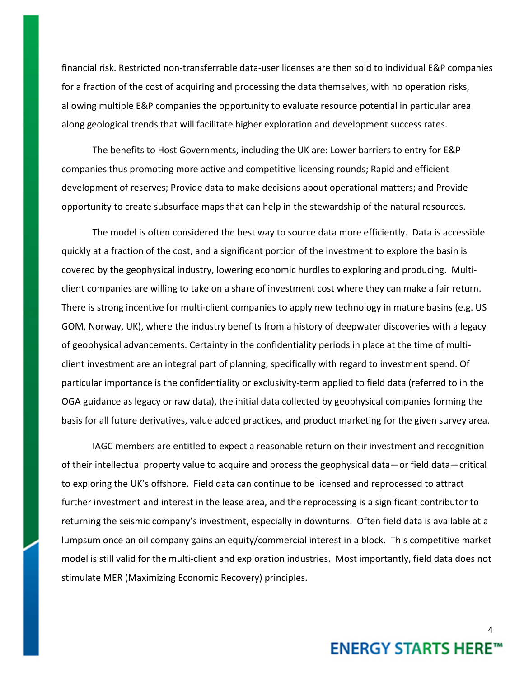financial risk. Restricted non-transferrable data-user licenses are then sold to individual E&P companies for a fraction of the cost of acquiring and processing the data themselves, with no operation risks, allowing multiple E&P companies the opportunity to evaluate resource potential in particular area along geological trends that will facilitate higher exploration and development success rates.

The benefits to Host Governments, including the UK are: Lower barriers to entry for E&P companies thus promoting more active and competitive licensing rounds; Rapid and efficient development of reserves; Provide data to make decisions about operational matters; and Provide opportunity to create subsurface maps that can help in the stewardship of the natural resources.

The model is often considered the best way to source data more efficiently. Data is accessible quickly at a fraction of the cost, and a significant portion of the investment to explore the basin is covered by the geophysical industry, lowering economic hurdles to exploring and producing. Multiclient companies are willing to take on a share of investment cost where they can make a fair return. There is strong incentive for multi-client companies to apply new technology in mature basins (e.g. US GOM, Norway, UK), where the industry benefits from a history of deepwater discoveries with a legacy of geophysical advancements. Certainty in the confidentiality periods in place at the time of multiclient investment are an integral part of planning, specifically with regard to investment spend. Of particular importance is the confidentiality or exclusivity-term applied to field data (referred to in the OGA guidance as legacy or raw data), the initial data collected by geophysical companies forming the basis for all future derivatives, value added practices, and product marketing for the given survey area.

IAGC members are entitled to expect a reasonable return on their investment and recognition of their intellectual property value to acquire and process the geophysical data—or field data—critical to exploring the UK's offshore. Field data can continue to be licensed and reprocessed to attract further investment and interest in the lease area, and the reprocessing is a significant contributor to returning the seismic company's investment, especially in downturns. Often field data is available at a lumpsum once an oil company gains an equity/commercial interest in a block. This competitive market model is still valid for the multi-client and exploration industries. Most importantly, field data does not stimulate MER (Maximizing Economic Recovery) principles.

### 4 **ENERGY STARTS HERE™**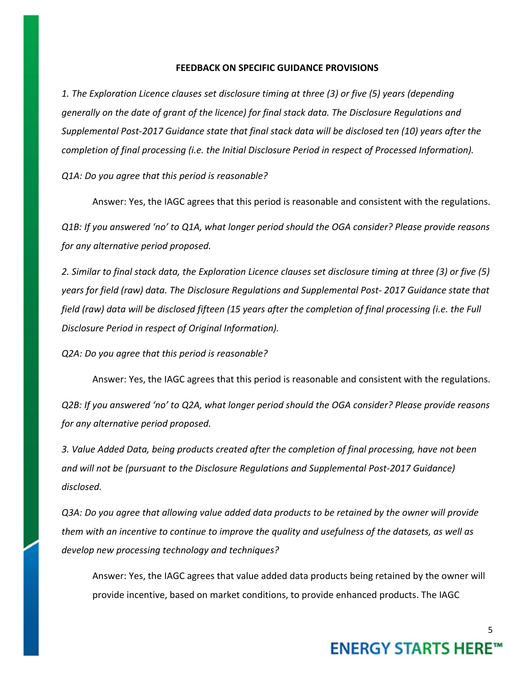### **FEEDBACK ON SPECIFIC GUIDANCE PROVISIONS**

*1. The Exploration Licence clauses set disclosure timing at three (3) or five (5) years (depending generally on the date of grant of the licence) for final stack data. The Disclosure Regulations and Supplemental Post-2017 Guidance state that final stack data will be disclosed ten (10) years after the completion of final processing (i.e. the Initial Disclosure Period in respect of Processed Information).* 

*Q1A: Do you agree that this period is reasonable?* 

Answer: Yes, the IAGC agrees that this period is reasonable and consistent with the regulations. *Q1B: If you answered 'no' to Q1A, what longer period should the OGA consider? Please provide reasons for any alternative period proposed.*

*2. Similar to final stack data, the Exploration Licence clauses set disclosure timing at three (3) or five (5) years for field (raw) data. The Disclosure Regulations and Supplemental Post- 2017 Guidance state that field (raw) data will be disclosed fifteen (15 years after the completion of final processing (i.e. the Full Disclosure Period in respect of Original Information).* 

*Q2A: Do you agree that this period is reasonable?* 

Answer: Yes, the IAGC agrees that this period is reasonable and consistent with the regulations.

*Q2B: If you answered 'no' to Q2A, what longer period should the OGA consider? Please provide reasons for any alternative period proposed.*

*3. Value Added Data, being products created after the completion of final processing, have not been and will not be (pursuant to the Disclosure Regulations and Supplemental Post-2017 Guidance) disclosed.* 

*Q3A: Do you agree that allowing value added data products to be retained by the owner will provide them with an incentive to continue to improve the quality and usefulness of the datasets, as well as develop new processing technology and techniques?* 

Answer: Yes, the IAGC agrees that value added data products being retained by the owner will provide incentive, based on market conditions, to provide enhanced products. The IAGC

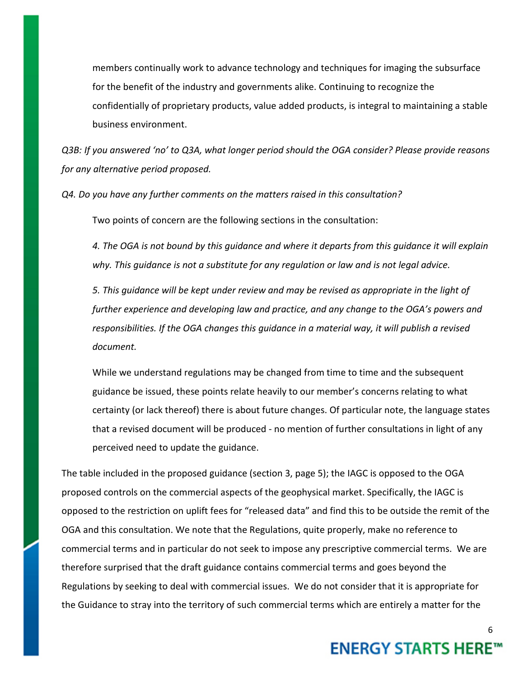members continually work to advance technology and techniques for imaging the subsurface for the benefit of the industry and governments alike. Continuing to recognize the confidentially of proprietary products, value added products, is integral to maintaining a stable business environment.

*Q3B: If you answered 'no' to Q3A, what longer period should the OGA consider? Please provide reasons for any alternative period proposed.*

*Q4. Do you have any further comments on the matters raised in this consultation?*

Two points of concern are the following sections in the consultation:

*4. The OGA is not bound by this guidance and where it departs from this guidance it will explain why. This guidance is not a substitute for any regulation or law and is not legal advice.*

*5. This guidance will be kept under review and may be revised as appropriate in the light of further experience and developing law and practice, and any change to the OGA's powers and responsibilities. If the OGA changes this guidance in a material way, it will publish a revised document.*

While we understand regulations may be changed from time to time and the subsequent guidance be issued, these points relate heavily to our member's concerns relating to what certainty (or lack thereof) there is about future changes. Of particular note, the language states that a revised document will be produced - no mention of further consultations in light of any perceived need to update the guidance.

The table included in the proposed guidance (section 3, page 5); the IAGC is opposed to the OGA proposed controls on the commercial aspects of the geophysical market. Specifically, the IAGC is opposed to the restriction on uplift fees for "released data" and find this to be outside the remit of the OGA and this consultation. We note that the Regulations, quite properly, make no reference to commercial terms and in particular do not seek to impose any prescriptive commercial terms. We are therefore surprised that the draft guidance contains commercial terms and goes beyond the Regulations by seeking to deal with commercial issues. We do not consider that it is appropriate for the Guidance to stray into the territory of such commercial terms which are entirely a matter for the

## **ENERGY STARTS HERE™**